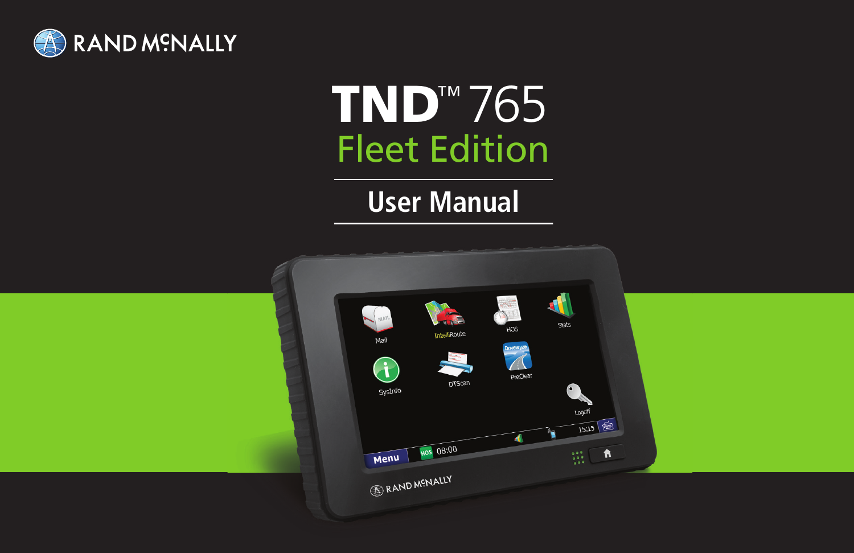

# Fleet Edition TND™ 765

# **User Manual**

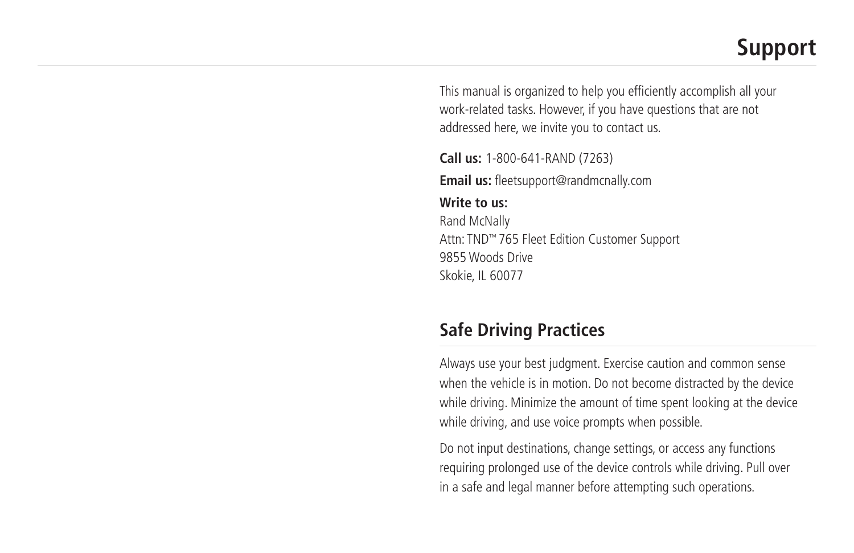# **Support**

This manual is organized to help you efficiently accomplish all your work-related tasks. However, if you have questions that are not addressed here, we invite you to contact us.

**Call us:** 1-800-641-RAND (7263) **Email us:** fleetsupport@randmcnally.com

**Write to us:**  Rand McNally Attn: TND™ 765 Fleet Edition Customer Support 9855 Woods Drive Skokie, IL 60077

# **Safe Driving Practices**

Always use your best judgment. Exercise caution and common sense when the vehicle is in motion. Do not become distracted by the device while driving. Minimize the amount of time spent looking at the device while driving, and use voice prompts when possible.

Do not input destinations, change settings, or access any functions requiring prolonged use of the device controls while driving. Pull over in a safe and legal manner before attempting such operations.